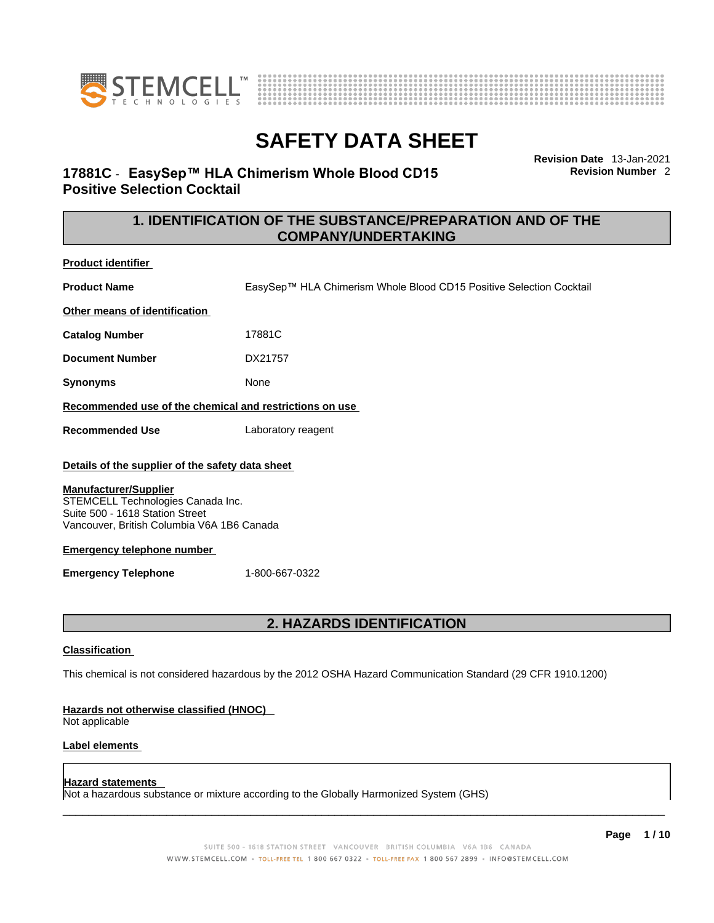



**17881C** - **EasySep™ HLA Chimerism Whole Blood CD15 Positive Selection Cocktail** 

**Revision Date** 13-Jan-2021 **Revision Number** 2

### **1. IDENTIFICATION OF THE SUBSTANCE/PREPARATION AND OF THE COMPANY/UNDERTAKING**

**Product identifier**

**Product Name** EasySep™ HLA Chimerism Whole Blood CD15 Positive Selection Cocktail

**Other means of identification**

**Catalog Number** 17881C

**Document Number** DX21757

**Synonyms** None

**Recommended use of the chemical and restrictions on use**

**Recommended Use** Laboratory reagent

#### **Details of the supplier of the safety data sheet**

#### **Manufacturer/Supplier**

STEMCELL Technologies Canada Inc. Suite 500 - 1618 Station Street Vancouver, British Columbia V6A 1B6 Canada

#### **Emergency telephone number**

**Emergency Telephone** 1-800-667-0322

### **2. HAZARDS IDENTIFICATION**

#### **Classification**

This chemical is not considered hazardous by the 2012 OSHA Hazard Communication Standard (29 CFR 1910.1200)

#### **Hazards not otherwise classified (HNOC)**

Not applicable

#### **Label elements**

#### **Hazard statements**

Not a hazardous substance or mixture according to the Globally Harmonized System (GHS)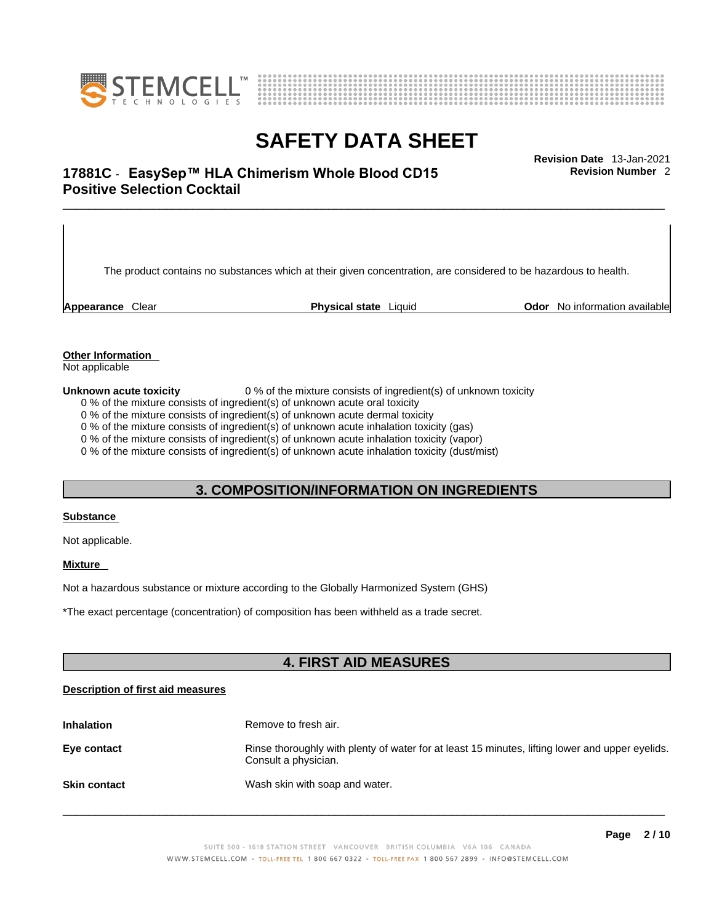



## \_\_\_\_\_\_\_\_\_\_\_\_\_\_\_\_\_\_\_\_\_\_\_\_\_\_\_\_\_\_\_\_\_\_\_\_\_\_\_\_\_\_\_\_\_\_\_\_\_\_\_\_\_\_\_\_\_\_\_\_\_\_\_\_\_\_\_\_\_\_\_\_\_\_\_\_\_\_\_\_\_\_\_\_\_\_\_\_\_\_\_\_\_ **Revision Date** 13-Jan-2021 **17881C** - **EasySep™ HLA Chimerism Whole Blood CD15 Positive Selection Cocktail**

The product contains no substances which at their given concentration, are considered to be hazardous to health.

**Appearance** Clear **Physical state** Liquid **Odor** No information available

**Revision Number** 2

**Other Information** 

Not applicable

**Unknown acute toxicity** 0 % of the mixture consists of ingredient(s) of unknown toxicity

0 % of the mixture consists of ingredient(s) of unknown acute oral toxicity

0 % of the mixture consists of ingredient(s) of unknown acute dermal toxicity

0 % of the mixture consists of ingredient(s) of unknown acute inhalation toxicity (gas)

0 % of the mixture consists of ingredient(s) of unknown acute inhalation toxicity (vapor)

0 % of the mixture consists of ingredient(s) of unknown acute inhalation toxicity (dust/mist)

#### **3. COMPOSITION/INFORMATION ON INGREDIENTS**

#### **Substance**

Not applicable.

#### **Mixture**

Not a hazardous substance or mixture according to the Globally Harmonized System (GHS)

\*The exact percentage (concentration) ofcomposition has been withheld as a trade secret.

### **4. FIRST AID MEASURES**

#### **Description of first aid measures**

| <b>Inhalation</b>   | Remove to fresh air.                                                                                                    |
|---------------------|-------------------------------------------------------------------------------------------------------------------------|
| Eye contact         | Rinse thoroughly with plenty of water for at least 15 minutes, lifting lower and upper eyelids.<br>Consult a physician. |
| <b>Skin contact</b> | Wash skin with soap and water.                                                                                          |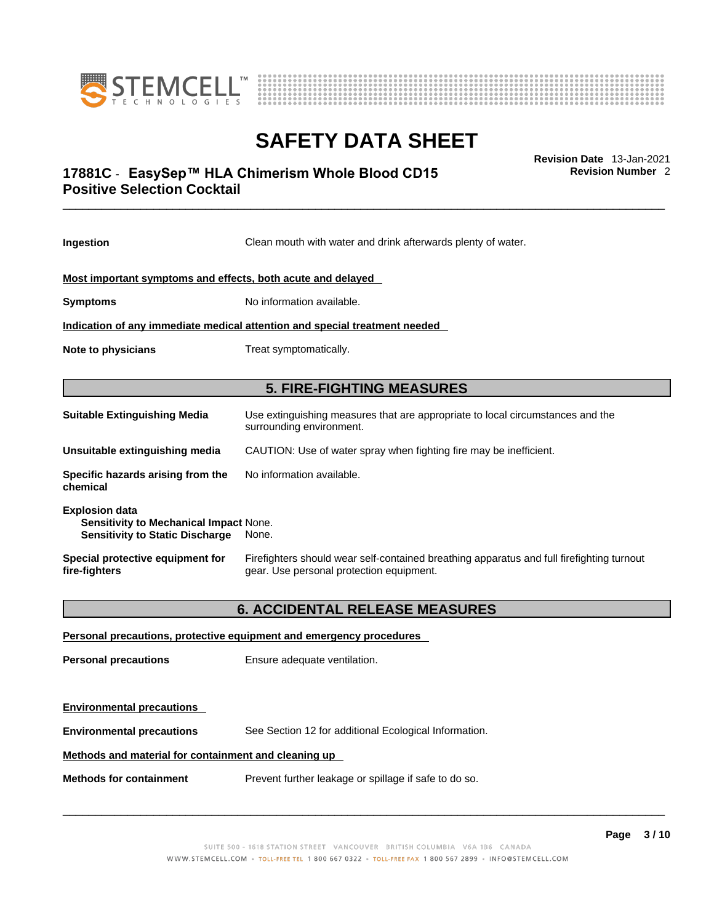



## \_\_\_\_\_\_\_\_\_\_\_\_\_\_\_\_\_\_\_\_\_\_\_\_\_\_\_\_\_\_\_\_\_\_\_\_\_\_\_\_\_\_\_\_\_\_\_\_\_\_\_\_\_\_\_\_\_\_\_\_\_\_\_\_\_\_\_\_\_\_\_\_\_\_\_\_\_\_\_\_\_\_\_\_\_\_\_\_\_\_\_\_\_ **Revision Date** 13-Jan-2021 **17881C** - **EasySep™ HLA Chimerism Whole Blood CD15 Positive Selection Cocktail**

**Ingestion** Clean mouth with water and drink afterwards plenty of water. **Most important symptoms and effects, both acute and delayed Symptoms** No information available. **Indication of any immediate medical attention and special treatment needed Note to physicians** Treat symptomatically. **5. FIRE-FIGHTING MEASURES Suitable Extinguishing Media** Use extinguishing measures that are appropriate to local circumstances and the surrounding environment. **Unsuitable extinguishing media** CAUTION: Use of water spray when fighting fire may be inefficient. **Specific hazards arising from the chemical** No information available. **Explosion data Sensitivity to Mechanical Impact** None. **Sensitivity to Static Discharge** None. **Special protective equipment for fire-fighters** Firefighters should wear self-contained breathing apparatus and full firefighting turnout gear. Use personal protection equipment. **6. ACCIDENTAL RELEASE MEASURES Personal precautions, protective equipment and emergency procedures Personal precautions** Ensure adequate ventilation. **Environmental precautions** 

**Environmental precautions** See Section 12 for additional Ecological Information.

#### **Methods and material for containment and cleaning up**

**Methods for containment** Prevent further leakage or spillage if safe to do so.

 $\_$  ,  $\_$  ,  $\_$  ,  $\_$  ,  $\_$  ,  $\_$  ,  $\_$  ,  $\_$  ,  $\_$  ,  $\_$  ,  $\_$  ,  $\_$  ,  $\_$  ,  $\_$  ,  $\_$  ,  $\_$  ,  $\_$  ,  $\_$  ,  $\_$  ,  $\_$  ,  $\_$  ,  $\_$  ,  $\_$  ,  $\_$  ,  $\_$  ,  $\_$  ,  $\_$  ,  $\_$  ,  $\_$  ,  $\_$  ,  $\_$  ,  $\_$  ,  $\_$  ,  $\_$  ,  $\_$  ,  $\_$  ,  $\_$  ,

**Revision Number** 2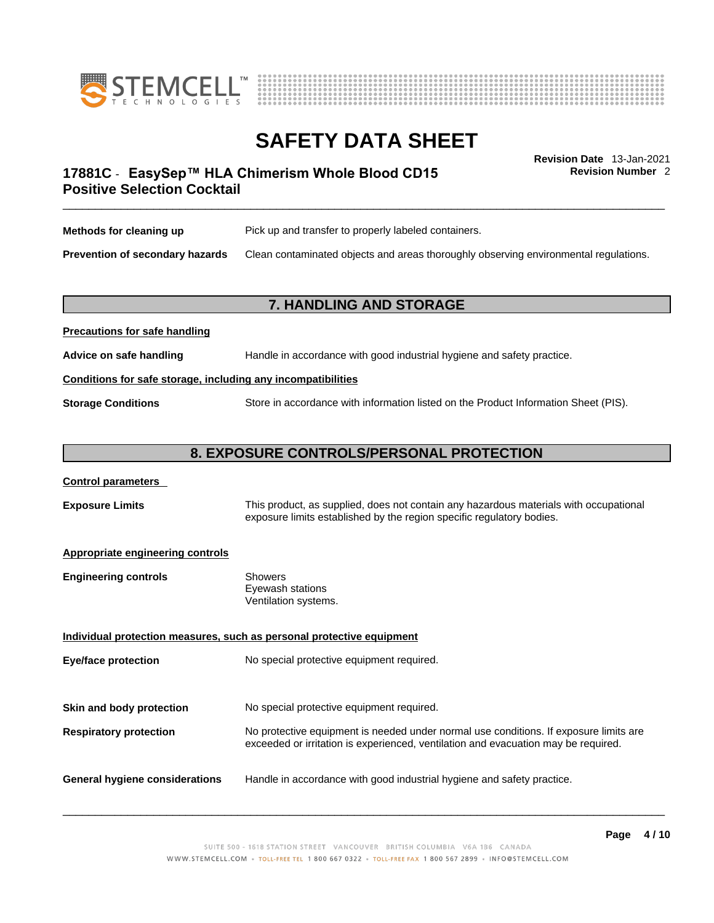



**Revision Number** 2

## \_\_\_\_\_\_\_\_\_\_\_\_\_\_\_\_\_\_\_\_\_\_\_\_\_\_\_\_\_\_\_\_\_\_\_\_\_\_\_\_\_\_\_\_\_\_\_\_\_\_\_\_\_\_\_\_\_\_\_\_\_\_\_\_\_\_\_\_\_\_\_\_\_\_\_\_\_\_\_\_\_\_\_\_\_\_\_\_\_\_\_\_\_ **Revision Date** 13-Jan-2021 **17881C** - **EasySep™ HLA Chimerism Whole Blood CD15 Positive Selection Cocktail**

| Methods for cleaning up         | Pick up and transfer to properly labeled containers.                                 |
|---------------------------------|--------------------------------------------------------------------------------------|
| Prevention of secondary hazards | Clean contaminated objects and areas thoroughly observing environmental regulations. |

### **7. HANDLING AND STORAGE**

| Advice on safe handling                                      | Handle in accordance with good industrial hygiene and safety practice.              |  |
|--------------------------------------------------------------|-------------------------------------------------------------------------------------|--|
| Conditions for safe storage, including any incompatibilities |                                                                                     |  |
| <b>Storage Conditions</b>                                    | Store in accordance with information listed on the Product Information Sheet (PIS). |  |

#### **8. EXPOSURE CONTROLS/PERSONAL PROTECTION**

#### **Control parameters**

**Precautions for safe handling**

**Exposure Limits** This product, as supplied, does not contain any hazardous materials with occupational exposure limits established by the region specific regulatory bodies.

#### **Appropriate engineering controls**

| <b>Engineering controls</b> | Showers              |
|-----------------------------|----------------------|
|                             | Eyewash stations     |
|                             | Ventilation systems. |

**Individual protection measures, such as personal protective equipment Eye/face protection** No special protective equipment required. **Skin and body protection** No special protective equipment required. **Respiratory protection** No protective equipment is needed under normal use conditions. If exposure limits are exceeded or irritation is experienced, ventilation and evacuation may be required. **General hygiene considerations** Handle in accordance with good industrial hygiene and safety practice.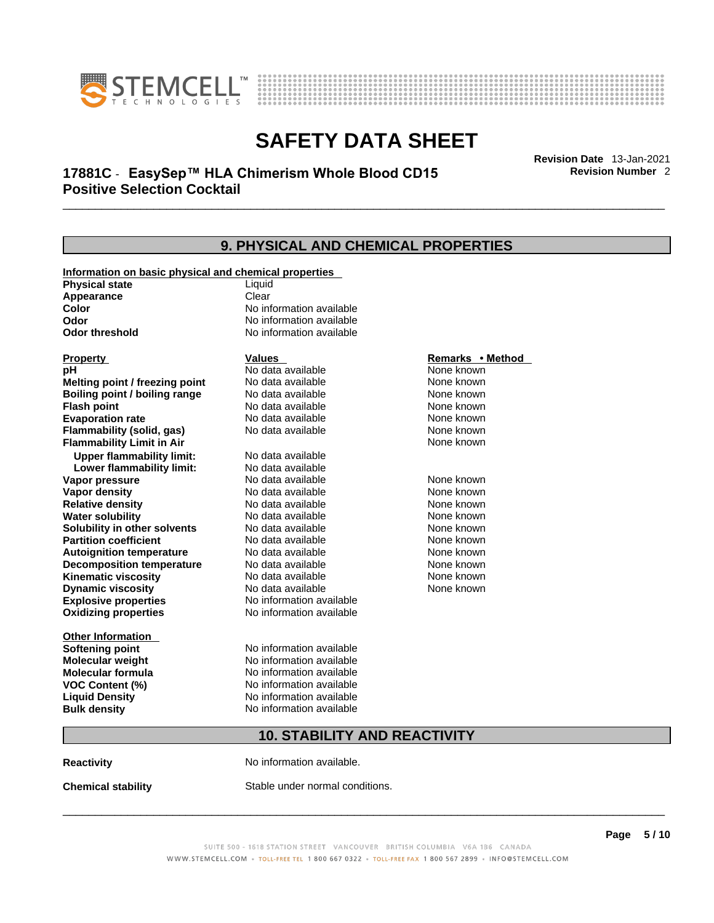



## \_\_\_\_\_\_\_\_\_\_\_\_\_\_\_\_\_\_\_\_\_\_\_\_\_\_\_\_\_\_\_\_\_\_\_\_\_\_\_\_\_\_\_\_\_\_\_\_\_\_\_\_\_\_\_\_\_\_\_\_\_\_\_\_\_\_\_\_\_\_\_\_\_\_\_\_\_\_\_\_\_\_\_\_\_\_\_\_\_\_\_\_\_ **Revision Date** 13-Jan-2021 **17881C** - **EasySep™ HLA Chimerism Whole Blood CD15 Positive Selection Cocktail**

**9. PHYSICAL AND CHEMICAL PROPERTIES Information on basic physical and chemical properties Physical state** Liquid **Appearance** Clear<br> **Color** No int **Color** No information available **Odor Odor No information available**<br> **Odor threshold No information available No information available Explosive properties** No information available **Oxidizing properties** No information available **Other Information Softening point** No information available **Molecular weight** No information available **Molecular formula** No information available<br>**VOC Content (%)** No information available **VOC** Content (%) **Liquid Density** No information available **Bulk density No information available 10. STABILITY AND REACTIVITY Property CONSCRUTE IN THE VALUES REMARKS • Method pH** No data available None known **Melting point / freezing point Boiling point / boiling range Modata available None known Flash point Communist Communist Communist Communist Communist Communist Communist Communist Communist Communist Communist Communist Communist Communist Communist Communist Communist Communist Communist Communist Communi Evaporation rate Configure 1 Accord None Configure 1 Accord None known**<br> **Flammability (solid. gas)** No data available **None known** None known **Flammability (solid, gas)** No data available None known **Flammability Limit in Air None known None known Upper flammability limit:** No data available **Lower flammability limit:** No data available **Vapor pressure No data available None known Vapor density Notata available None known Relative density No data available None known Water solubility No data available Mone known**<br> **Solubility in other solvents** No data available None known None known **Solubility in other solvents** No data available **None known**<br> **Partition coefficient** No data available None known **Partition coefficient**<br>**Autoignition temperature** No data available **Autoignition temperature No data available None known**<br> **Decomposition temperature** No data available **None known**<br>
None known **Decomposition temperature** No data available None known<br> **Kinematic viscosity** No data available None known **Kinematic viscosity** No data available<br> **Dynamic viscosity** No data available **Dynamic viscosity** None known

**Reactivity No information available.** 

**Chemical stability** Stable under normal conditions.

 $\_$  ,  $\_$  ,  $\_$  ,  $\_$  ,  $\_$  ,  $\_$  ,  $\_$  ,  $\_$  ,  $\_$  ,  $\_$  ,  $\_$  ,  $\_$  ,  $\_$  ,  $\_$  ,  $\_$  ,  $\_$  ,  $\_$  ,  $\_$  ,  $\_$  ,  $\_$  ,  $\_$  ,  $\_$  ,  $\_$  ,  $\_$  ,  $\_$  ,  $\_$  ,  $\_$  ,  $\_$  ,  $\_$  ,  $\_$  ,  $\_$  ,  $\_$  ,  $\_$  ,  $\_$  ,  $\_$  ,  $\_$  ,  $\_$  ,

**Revision Number** 2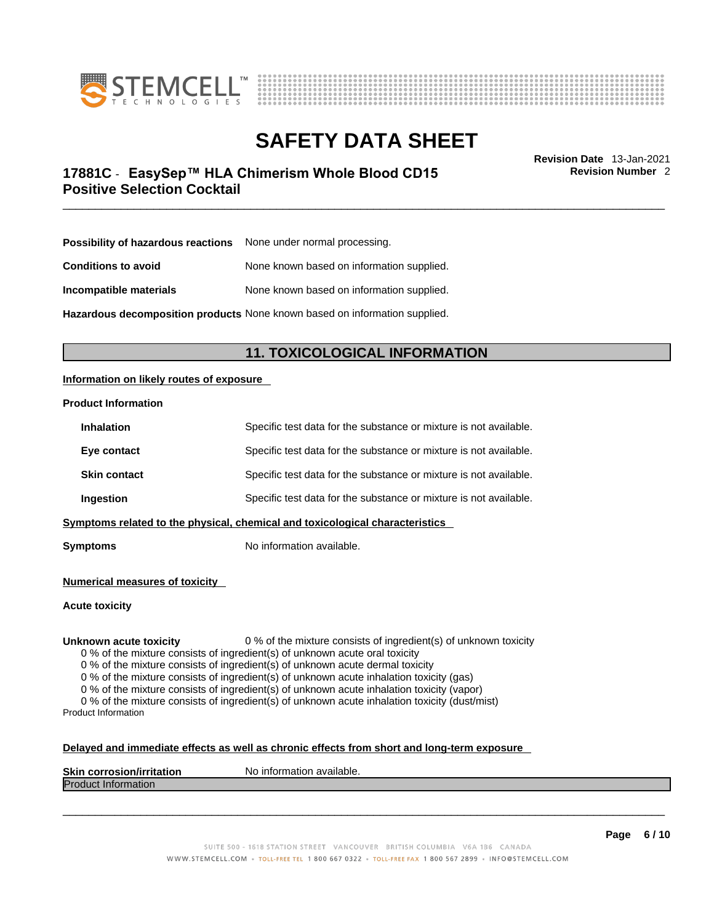



## \_\_\_\_\_\_\_\_\_\_\_\_\_\_\_\_\_\_\_\_\_\_\_\_\_\_\_\_\_\_\_\_\_\_\_\_\_\_\_\_\_\_\_\_\_\_\_\_\_\_\_\_\_\_\_\_\_\_\_\_\_\_\_\_\_\_\_\_\_\_\_\_\_\_\_\_\_\_\_\_\_\_\_\_\_\_\_\_\_\_\_\_\_ **Revision Date** 13-Jan-2021 **17881C** - **EasySep™ HLA Chimerism Whole Blood CD15 Positive Selection Cocktail**

**Revision Number** 2

| Possibility of hazardous reactions | None under normal processing.             |
|------------------------------------|-------------------------------------------|
| <b>Conditions to avoid</b>         | None known based on information supplied. |
| Incompatible materials             | None known based on information supplied. |

**Hazardous decomposition products** None known based on information supplied.

### **11. TOXICOLOGICAL INFORMATION**

#### **Information on likely routes of exposure**

#### **Product Information**

| <b>Inhalation</b>                                                              | Specific test data for the substance or mixture is not available. |  |
|--------------------------------------------------------------------------------|-------------------------------------------------------------------|--|
| Eye contact                                                                    | Specific test data for the substance or mixture is not available. |  |
| <b>Skin contact</b>                                                            | Specific test data for the substance or mixture is not available. |  |
| Specific test data for the substance or mixture is not available.<br>Ingestion |                                                                   |  |
| Symptoms related to the physical, chemical and toxicological characteristics   |                                                                   |  |

**Symptoms** No information available.

**Numerical measures of toxicity**

**Acute toxicity**

**Unknown acute toxicity** 0 % of the mixture consists of ingredient(s) of unknown toxicity

0 % of the mixture consists of ingredient(s) of unknown acute oral toxicity

0 % of the mixture consists of ingredient(s) of unknown acute dermal toxicity

0 % of the mixture consists of ingredient(s) of unknown acute inhalation toxicity (gas)

0 % of the mixture consists of ingredient(s) of unknown acute inhalation toxicity (vapor)

0 % of the mixture consists of ingredient(s) of unknown acute inhalation toxicity (dust/mist) Product Information

#### **Delayed and immediate effects as well as chronic effects from short and long-term exposure**

| <b>Skin corrosior</b><br>ion/irritation | `available.<br>No inforn<br>nation |
|-----------------------------------------|------------------------------------|
| Produc<br><b>Information</b>            |                                    |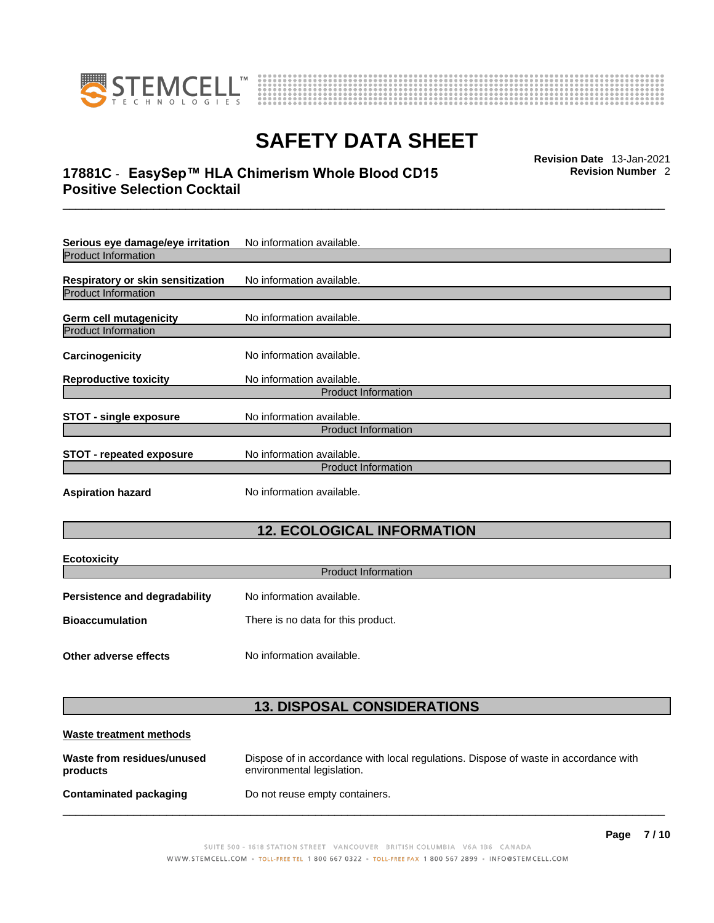



## \_\_\_\_\_\_\_\_\_\_\_\_\_\_\_\_\_\_\_\_\_\_\_\_\_\_\_\_\_\_\_\_\_\_\_\_\_\_\_\_\_\_\_\_\_\_\_\_\_\_\_\_\_\_\_\_\_\_\_\_\_\_\_\_\_\_\_\_\_\_\_\_\_\_\_\_\_\_\_\_\_\_\_\_\_\_\_\_\_\_\_\_\_ **Revision Date** 13-Jan-2021 **17881C** - **EasySep™ HLA Chimerism Whole Blood CD15 Positive Selection Cocktail**

**Revision Number** 2

| Serious eye damage/eye irritation | No information available.  |  |
|-----------------------------------|----------------------------|--|
| <b>Product Information</b>        |                            |  |
| Respiratory or skin sensitization | No information available.  |  |
| <b>Product Information</b>        |                            |  |
| Germ cell mutagenicity            | No information available.  |  |
| Product Information               |                            |  |
| Carcinogenicity                   | No information available.  |  |
| <b>Reproductive toxicity</b>      | No information available.  |  |
| <b>Product Information</b>        |                            |  |
| <b>STOT - single exposure</b>     | No information available.  |  |
|                                   | <b>Product Information</b> |  |
| <b>STOT - repeated exposure</b>   | No information available.  |  |
| <b>Product Information</b>        |                            |  |
| <b>Aspiration hazard</b>          | No information available.  |  |
| <b>12. ECOLOGICAL INFORMATION</b> |                            |  |

| <b>Ecotoxicity</b>            | <b>Product Information</b>         |  |
|-------------------------------|------------------------------------|--|
| Persistence and degradability | No information available.          |  |
| <b>Bioaccumulation</b>        | There is no data for this product. |  |
| Other adverse effects         | No information available.          |  |

### **13. DISPOSAL CONSIDERATIONS**

| Waste treatment methods                |                                                                                                                    |
|----------------------------------------|--------------------------------------------------------------------------------------------------------------------|
| Waste from residues/unused<br>products | Dispose of in accordance with local regulations. Dispose of waste in accordance with<br>environmental legislation. |
| <b>Contaminated packaging</b>          | Do not reuse empty containers.                                                                                     |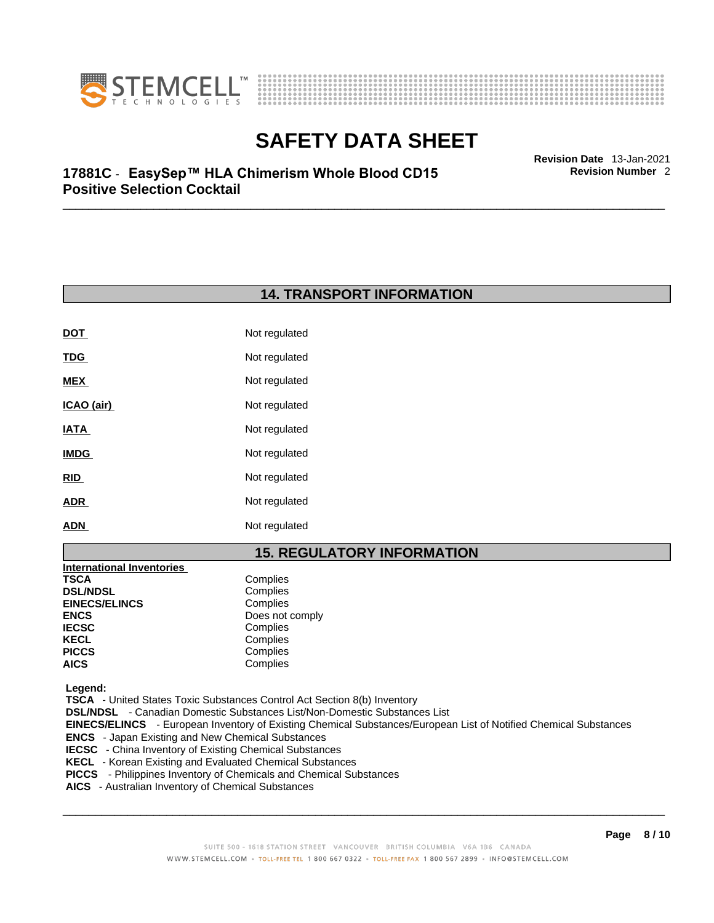



**Revision Number** 2

## \_\_\_\_\_\_\_\_\_\_\_\_\_\_\_\_\_\_\_\_\_\_\_\_\_\_\_\_\_\_\_\_\_\_\_\_\_\_\_\_\_\_\_\_\_\_\_\_\_\_\_\_\_\_\_\_\_\_\_\_\_\_\_\_\_\_\_\_\_\_\_\_\_\_\_\_\_\_\_\_\_\_\_\_\_\_\_\_\_\_\_\_\_ **Revision Date** 13-Jan-2021 **17881C** - **EasySep™ HLA Chimerism Whole Blood CD15 Positive Selection Cocktail**

### **14. TRANSPORT INFORMATION**

| Not regulated |
|---------------|
| Not regulated |
| Not regulated |
| Not regulated |
| Not regulated |
| Not regulated |
| Not regulated |
| Not regulated |
| Not regulated |
|               |

### **15. REGULATORY INFORMATION**

| <b>International Inventories</b> |                 |
|----------------------------------|-----------------|
| TSCA                             | Complies        |
| <b>DSL/NDSL</b>                  | Complies        |
| <b>EINECS/ELINCS</b>             | Complies        |
| ENCS                             | Does not comply |
| <b>IECSC</b>                     | Complies        |
| KECL                             | Complies        |
| PICCS                            | Complies        |
| AICS                             | Complies        |
|                                  |                 |

 **Legend:** 

 **TSCA** - United States Toxic Substances Control Act Section 8(b) Inventory

 **DSL/NDSL** - Canadian Domestic Substances List/Non-Domestic Substances List

 **EINECS/ELINCS** - European Inventory of Existing Chemical Substances/European List of Notified Chemical Substances

- **ENCS**  Japan Existing and New Chemical Substances
- **IECSC** China Inventory of Existing Chemical Substances
- **KECL**  Korean Existing and Evaluated Chemical Substances
- **PICCS**  Philippines Inventory of Chemicals and Chemical Substances
- **AICS**  Australian Inventory of Chemical Substances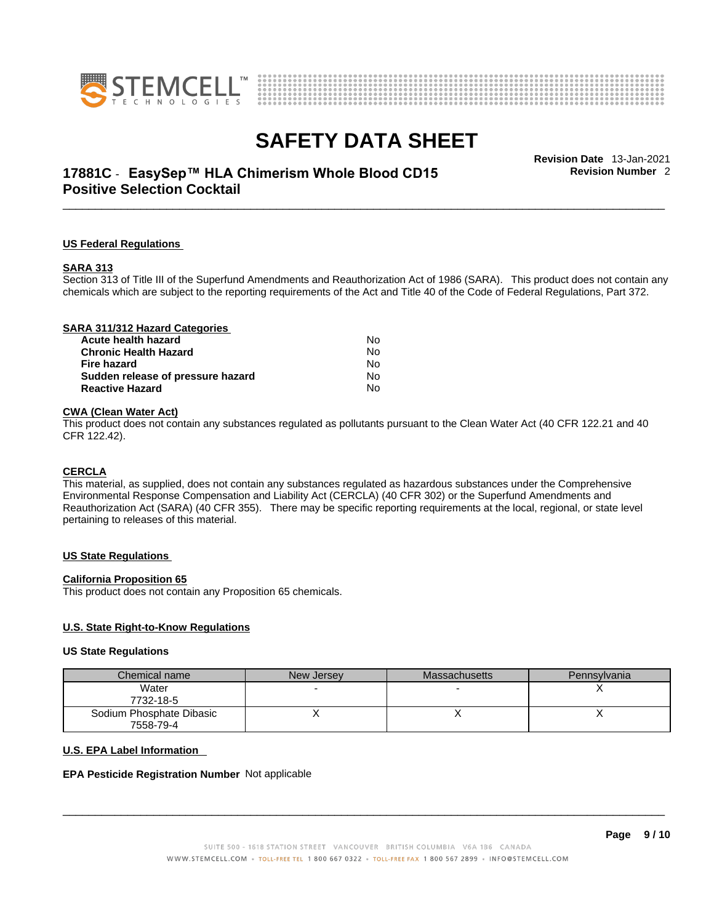



## \_\_\_\_\_\_\_\_\_\_\_\_\_\_\_\_\_\_\_\_\_\_\_\_\_\_\_\_\_\_\_\_\_\_\_\_\_\_\_\_\_\_\_\_\_\_\_\_\_\_\_\_\_\_\_\_\_\_\_\_\_\_\_\_\_\_\_\_\_\_\_\_\_\_\_\_\_\_\_\_\_\_\_\_\_\_\_\_\_\_\_\_\_ **Revision Date** 13-Jan-2021 **17881C** - **EasySep™ HLA Chimerism Whole Blood CD15 Positive Selection Cocktail**

**Revision Number** 2

#### **US Federal Regulations**

#### **SARA 313**

Section 313 of Title III of the Superfund Amendments and Reauthorization Act of 1986 (SARA). This product does not contain any chemicals which are subject to the reporting requirements of the Act and Title 40 of the Code of Federal Regulations, Part 372.

| SARA 311/312 Hazard Categories    |    |  |
|-----------------------------------|----|--|
| Acute health hazard               | N٥ |  |
| <b>Chronic Health Hazard</b>      | No |  |
| <b>Fire hazard</b>                | No |  |
| Sudden release of pressure hazard | No |  |
| <b>Reactive Hazard</b>            | No |  |
|                                   |    |  |

#### **CWA** (Clean Water Act)

This product does not contain any substances regulated as pollutants pursuant to the Clean Water Act (40 CFR 122.21 and 40 CFR 122.42).

#### **CERCLA**

This material, as supplied, does not contain any substances regulated as hazardous substances under the Comprehensive Environmental Response Compensation and Liability Act (CERCLA) (40 CFR 302) or the Superfund Amendments and Reauthorization Act (SARA) (40 CFR 355). There may be specific reporting requirements at the local, regional, or state level pertaining to releases of this material.

#### **US State Regulations**

#### **California Proposition 65**

This product does not contain any Proposition 65 chemicals.

#### **U.S. State Right-to-Know Regulations**

#### **US State Regulations**

| Chemical name            | New Jersey | <b>Massachusetts</b> | Pennsylvania |
|--------------------------|------------|----------------------|--------------|
| Water<br>7732-18-5       |            |                      |              |
| Sodium Phosphate Dibasic |            |                      |              |
| 7558-79-4                |            |                      |              |

#### **U.S. EPA Label Information**

#### **EPA Pesticide Registration Number** Not applicable